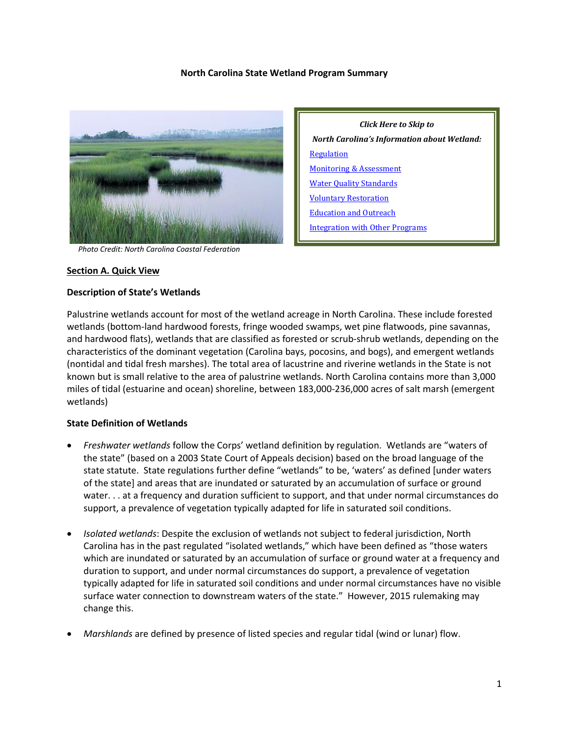#### **North Carolina State Wetland Program Summary**



 *Photo Credit: North Carolina Coastal Federation*

#### **Section A. Quick View**

#### **Description of State's Wetlands**

Palustrine wetlands account for most of the wetland acreage in North Carolina. These include forested wetlands (bottom-land hardwood forests, fringe wooded swamps, wet pine flatwoods, pine savannas, and hardwood flats), wetlands that are classified as forested or scrub-shrub wetlands, depending on the characteristics of the dominant vegetation (Carolina bays, pocosins, and bogs), and emergent wetlands (nontidal and tidal fresh marshes). The total area of lacustrine and riverine wetlands in the State is not known but is small relative to the area of palustrine wetlands. North Carolina contains more than 3,000 miles of tidal (estuarine and ocean) shoreline, between 183,000-236,000 acres of salt marsh (emergent wetlands)

#### **State Definition of Wetlands**

- *Freshwater wetlands* follow the Corps' wetland definition by regulation. Wetlands are "waters of the state" (based on a 2003 State Court of Appeals decision) based on the broad language of the state statute. State regulations further define "wetlands" to be, 'waters' as defined [under waters of the state] and areas that are inundated or saturated by an accumulation of surface or ground water. . . at a frequency and duration sufficient to support, and that under normal circumstances do support, a prevalence of vegetation typically adapted for life in saturated soil conditions.
- *Isolated wetlands*: Despite the exclusion of wetlands not subject to federal jurisdiction, North Carolina has in the past regulated "isolated wetlands," which have been defined as "those waters which are inundated or saturated by an accumulation of surface or ground water at a frequency and duration to support, and under normal circumstances do support, a prevalence of vegetation typically adapted for life in saturated soil conditions and under normal circumstances have no visible surface water connection to downstream waters of the state." However, 2015 rulemaking may change this.
- *Marshlands* are defined by presence of listed species and regular tidal (wind or lunar) flow.

*Click Here to Skip to North Carolina's Information about Wetland:* **[Regulation](#page-3-0)** [Monitoring & Assessment](#page-6-0) [Water Quality Standards](#page-8-0) [Voluntary Restoration](#page-8-1) [Education and Outreach](#page-9-0) [Integration with Other Programs](#page-10-0)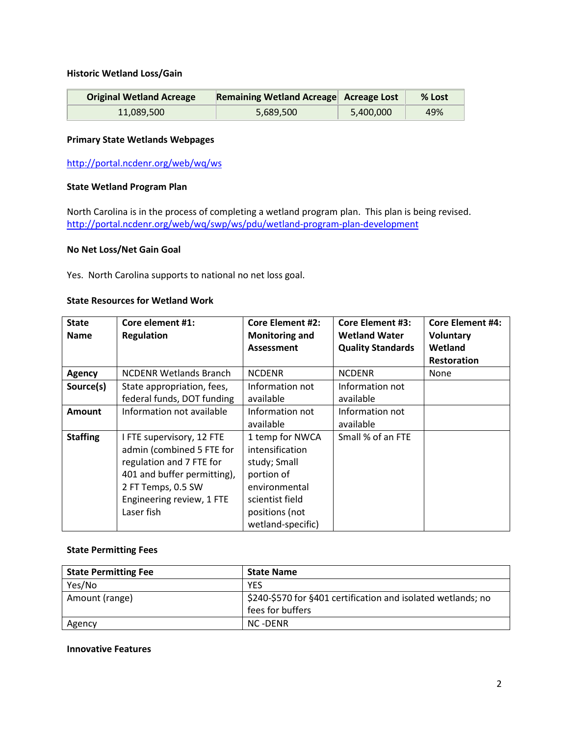#### **Historic Wetland Loss/Gain**

| <b>Original Wetland Acreage</b> | Remaining Wetland Acreage Acreage Lost |           | $%$ Lost |
|---------------------------------|----------------------------------------|-----------|----------|
| 11.089.500                      | 5,689,500                              | 5,400,000 | 49%      |

#### **Primary State Wetlands Webpages**

<http://portal.ncdenr.org/web/wq/ws>

#### **State Wetland Program Plan**

North Carolina is in the process of completing a wetland program plan. This plan is being revised. <http://portal.ncdenr.org/web/wq/swp/ws/pdu/wetland-program-plan-development>

#### **No Net Loss/Net Gain Goal**

Yes. North Carolina supports to national no net loss goal.

#### **State Resources for Wetland Work**

| <b>State</b>    | Core element #1:              | <b>Core Element #2:</b> | <b>Core Element #3:</b>  | <b>Core Element #4:</b> |
|-----------------|-------------------------------|-------------------------|--------------------------|-------------------------|
| <b>Name</b>     | <b>Regulation</b>             | <b>Monitoring and</b>   | <b>Wetland Water</b>     | <b>Voluntary</b>        |
|                 |                               | <b>Assessment</b>       | <b>Quality Standards</b> | Wetland                 |
|                 |                               |                         |                          | <b>Restoration</b>      |
| <b>Agency</b>   | <b>NCDENR Wetlands Branch</b> | <b>NCDENR</b>           | <b>NCDENR</b>            | <b>None</b>             |
| Source(s)       | State appropriation, fees,    | Information not         | Information not          |                         |
|                 | federal funds, DOT funding    | available               | available                |                         |
| <b>Amount</b>   | Information not available     | Information not         | Information not          |                         |
|                 |                               | available               | available                |                         |
| <b>Staffing</b> | I FTE supervisory, 12 FTE     | 1 temp for NWCA         | Small % of an FTE        |                         |
|                 | admin (combined 5 FTE for     | intensification         |                          |                         |
|                 | regulation and 7 FTE for      | study; Small            |                          |                         |
|                 | 401 and buffer permitting),   | portion of              |                          |                         |
|                 | 2 FT Temps, 0.5 SW            | environmental           |                          |                         |
|                 | Engineering review, 1 FTE     | scientist field         |                          |                         |
|                 | Laser fish                    | positions (not          |                          |                         |
|                 |                               | wetland-specific)       |                          |                         |

#### **State Permitting Fees**

| <b>State Permitting Fee</b> | <b>State Name</b>                                            |
|-----------------------------|--------------------------------------------------------------|
| Yes/No                      | <b>YES</b>                                                   |
| Amount (range)              | \$240-\$570 for §401 certification and isolated wetlands; no |
|                             | fees for buffers                                             |
| Agency                      | NC -DENR                                                     |

#### **Innovative Features**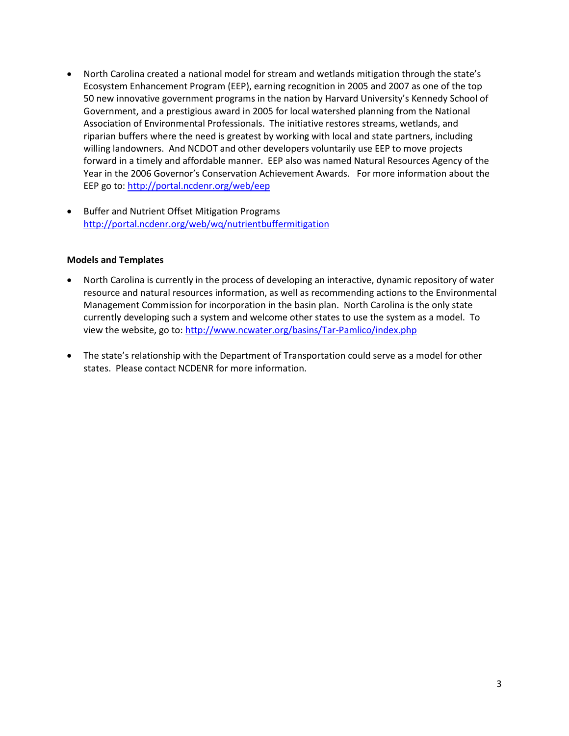- North Carolina created a national model for stream and wetlands mitigation through the state's Ecosystem Enhancement Program (EEP), earning [recognition](http://portal.ncdenr.org/web/eep/awards) in 2005 and 2007 as one of the top 50 new innovative government programs in the nation by Harvard University's Kennedy School of Government, and a prestigious award in 2005 for local watershed planning from the [National](http://www.naep.org/mc/page.do?sitePageId=91299&orgId=naep)  [Association of Environmental Professionals.](http://www.naep.org/mc/page.do?sitePageId=91299&orgId=naep) The initiative restores streams, wetlands, and riparian buffers where the need is greatest by working with local and state partners, including [willing landowners.](http://portal.ncdenr.org/web/eep/landowners) And NCDOT and other developers voluntarily use EEP to move projects forward in a timely and affordable manner. EEP also was named Natural Resources Agency of the Year in the 2006 Governor's Conservation Achievement Awards. For more information about the EEP go to:<http://portal.ncdenr.org/web/eep>
- Buffer and Nutrient Offset Mitigation Programs <http://portal.ncdenr.org/web/wq/nutrientbuffermitigation>

## **Models and Templates**

- North Carolina is currently in the process of developing an interactive, dynamic repository of water resource and natural resources information, as well as recommending actions to the Environmental Management Commission for incorporation in the basin plan. North Carolina is the only state currently developing such a system and welcome other states to use the system as a model. To view the website, go to:<http://www.ncwater.org/basins/Tar-Pamlico/index.php>
- The state's relationship with the Department of Transportation could serve as a model for other states. Please contact NCDENR for more information.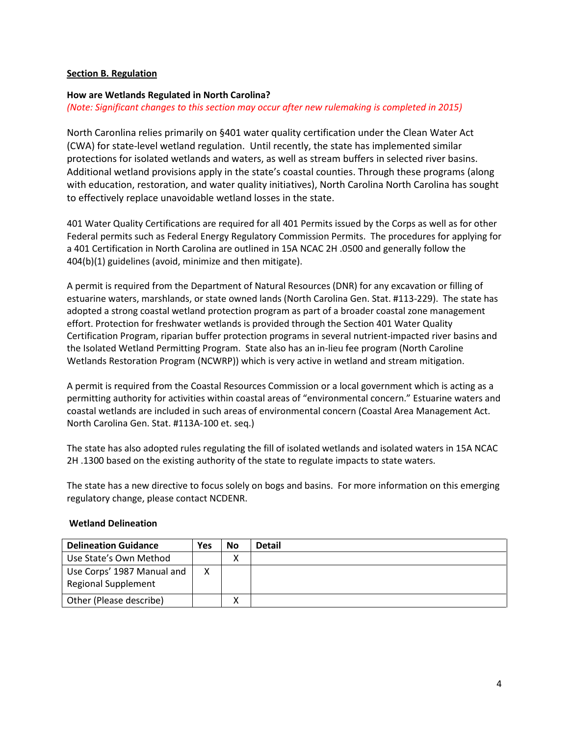## <span id="page-3-0"></span>**Section B. Regulation**

## **How are Wetlands Regulated in North Carolina?**

## *(Note: Significant changes to this section may occur after new rulemaking is completed in 2015)*

North Caronlina relies primarily on §401 water quality certification under the Clean Water Act (CWA) for state-level wetland regulation. Until recently, the state has implemented similar protections for isolated wetlands and waters, as well as stream buffers in selected river basins. Additional wetland provisions apply in the state's coastal counties. Through these programs (along with education, restoration, and water quality initiatives), North Carolina North Carolina has sought to effectively replace unavoidable wetland losses in the state.

401 Water Quality Certifications are required for all 401 Permits issued by the Corps as well as for other Federal permits such as Federal Energy Regulatory Commission Permits. The procedures for applying for a 401 Certification in North Carolina are outlined in 15A NCAC 2H .0500 and generally follow the 404(b)(1) guidelines (avoid, minimize and then mitigate).

A permit is required from the Department of Natural Resources (DNR) for any excavation or filling of estuarine waters, marshlands, or state owned lands (North Carolina Gen. Stat. #113-229). The state has adopted a strong coastal wetland protection program as part of a broader coastal zone management effort. Protection for freshwater wetlands is provided through the Section 401 Water Quality Certification Program, riparian buffer protection programs in several nutrient-impacted river basins and the Isolated Wetland Permitting Program. State also has an in-lieu fee program (North Caroline Wetlands Restoration Program (NCWRP)) which is very active in wetland and stream mitigation.

A permit is required from the Coastal Resources Commission or a local government which is acting as a permitting authority for activities within coastal areas of "environmental concern." Estuarine waters and coastal wetlands are included in such areas of environmental concern (Coastal Area Management Act. North Carolina Gen. Stat. #113A-100 et. seq.)

The state has also adopted rules regulating the fill of isolated wetlands and isolated waters in 15A NCAC 2H .1300 based on the existing authority of the state to regulate impacts to state waters.

The state has a new directive to focus solely on bogs and basins. For more information on this emerging regulatory change, please contact NCDENR.

## **Wetland Delineation**

| <b>Delineation Guidance</b>                              | Yes | No | <b>Detail</b> |
|----------------------------------------------------------|-----|----|---------------|
| Use State's Own Method                                   |     |    |               |
| Use Corps' 1987 Manual and<br><b>Regional Supplement</b> | x   |    |               |
| Other (Please describe)                                  |     |    |               |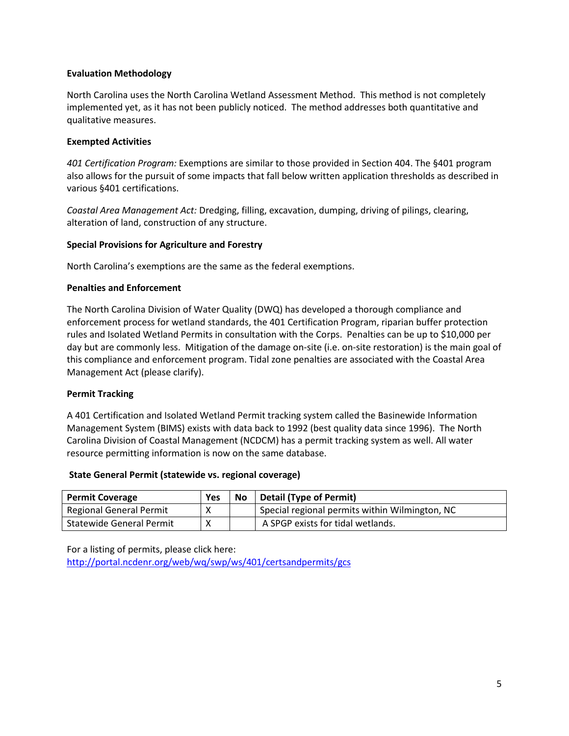## **Evaluation Methodology**

North Carolina uses the North Carolina Wetland Assessment Method. This method is not completely implemented yet, as it has not been publicly noticed. The method addresses both quantitative and qualitative measures.

## **Exempted Activities**

*401 Certification Program:* Exemptions are similar to those provided in Section 404. The §401 program also allows for the pursuit of some impacts that fall below written application thresholds as described in various §401 certifications.

*Coastal Area Management Act:* Dredging, filling, excavation, dumping, driving of pilings, clearing, alteration of land, construction of any structure.

## **Special Provisions for Agriculture and Forestry**

North Carolina's exemptions are the same as the federal exemptions.

## **Penalties and Enforcement**

The North Carolina Division of Water Quality (DWQ) has developed a thorough compliance and enforcement process for wetland standards, the 401 Certification Program, riparian buffer protection rules and Isolated Wetland Permits in consultation with the Corps. Penalties can be up to \$10,000 per day but are commonly less. Mitigation of the damage on-site (i.e. on-site restoration) is the main goal of this compliance and enforcement program. Tidal zone penalties are associated with the Coastal Area Management Act (please clarify).

## **Permit Tracking**

A 401 Certification and Isolated Wetland Permit tracking system called the Basinewide Information Management System (BIMS) exists with data back to 1992 (best quality data since 1996). The North Carolina Division of Coastal Management (NCDCM) has a permit tracking system as well. All water resource permitting information is now on the same database.

## **State General Permit (statewide vs. regional coverage)**

| <b>Permit Coverage</b>          | Yes | <b>No</b> | <b>Detail (Type of Permit)</b>                 |
|---------------------------------|-----|-----------|------------------------------------------------|
| Regional General Permit         |     |           | Special regional permits within Wilmington, NC |
| <b>Statewide General Permit</b> | Х   |           | A SPGP exists for tidal wetlands.              |

For a listing of permits, please click here: <http://portal.ncdenr.org/web/wq/swp/ws/401/certsandpermits/gcs>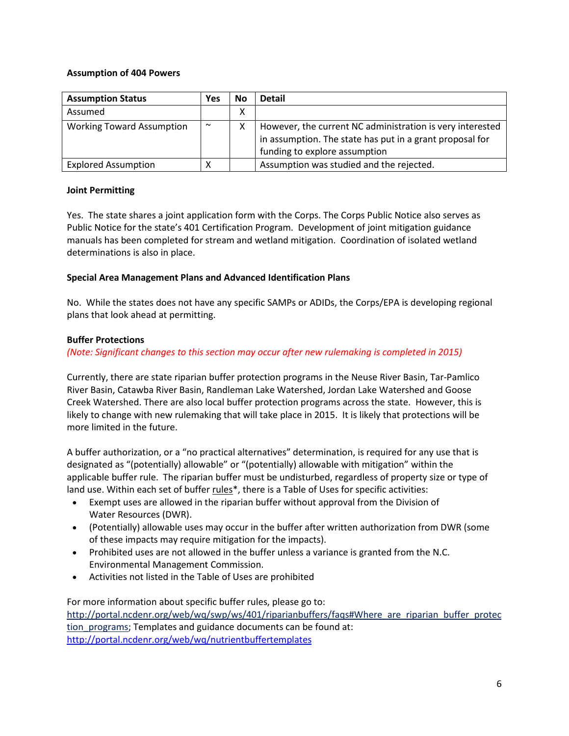## **Assumption of 404 Powers**

| <b>Assumption Status</b>         | Yes    | No | <b>Detail</b>                                                                                                                                          |
|----------------------------------|--------|----|--------------------------------------------------------------------------------------------------------------------------------------------------------|
| Assumed                          |        | Χ  |                                                                                                                                                        |
| <b>Working Toward Assumption</b> | $\sim$ |    | However, the current NC administration is very interested<br>in assumption. The state has put in a grant proposal for<br>funding to explore assumption |
| <b>Explored Assumption</b>       | Χ      |    | Assumption was studied and the rejected.                                                                                                               |

## **Joint Permitting**

Yes. The state shares a joint application form with the Corps. The Corps Public Notice also serves as Public Notice for the state's 401 Certification Program. Development of joint mitigation guidance manuals has been completed for stream and wetland mitigation. Coordination of isolated wetland determinations is also in place.

## **Special Area Management Plans and Advanced Identification Plans**

No. While the states does not have any specific SAMPs or ADIDs, the Corps/EPA is developing regional plans that look ahead at permitting.

# **Buffer Protections**

*(Note: Significant changes to this section may occur after new rulemaking is completed in 2015)*

Currently, there are state riparian buffer protection programs in the [Neuse River Basin,](http://portal.ncdenr.org/web/wq/ps/bpu/basin/neuse) [Tar-Pamlico](http://portal.ncdenr.org/web/wq/ps/bpu/basin/tarpamlico)  [River Basin,](http://portal.ncdenr.org/web/wq/ps/bpu/basin/tarpamlico) [Catawba River Basin,](http://portal.ncdenr.org/web/wq/ps/bpu/basin/catawba) [Randleman Lake Watershed,](http://www.ptrwa.org/map.htm) [Jordan Lake Watershed](http://www.jordanlake.org/) and [Goose](http://portal.ncdenr.org/c/document_library/get_file?uuid=8c7c7599-19c7-400a-afe0-8bb08145c450&groupId=38364)  [Creek Watershed.](http://portal.ncdenr.org/c/document_library/get_file?uuid=8c7c7599-19c7-400a-afe0-8bb08145c450&groupId=38364) There are also local buffer protection programs across the state. However, this is likely to change with new rulemaking that will take place in 2015. It is likely that protections will be more limited in the future.

A buffer authorization, or a "no practical alternatives" determination, is required for any use that is designated as "(potentially) allowable" or "(potentially) allowable with mitigation" within the applicable buffer rule. The riparian buffer must be undisturbed, regardless of property size or type of land use. Within each set of buffe[r rules\\*](http://portal.ncdenr.org/web/wq/swp/ws/401/riparianbuffers/rules), there is a Table of Uses for specific activities:

- Exempt uses are allowed in the riparian buffer without approval from the Division of Water Resources (DWR).
- (Potentially) allowable uses may occur in the buffer after written authorization from DWR (some of these impacts may require mitigation for the impacts).
- Prohibited uses are not allowed in the buffer unless a variance is granted from the N.C. Environmental Management Commission.
- Activities not listed in the Table of Uses are prohibited

For more information about specific buffer rules, please go to: http://portal.ncdenr.org/web/wq/swp/ws/401/riparianbuffers/faqs#Where are riparian buffer protec tion programs; Templates and guidance documents can be found at: <http://portal.ncdenr.org/web/wq/nutrientbuffertemplates>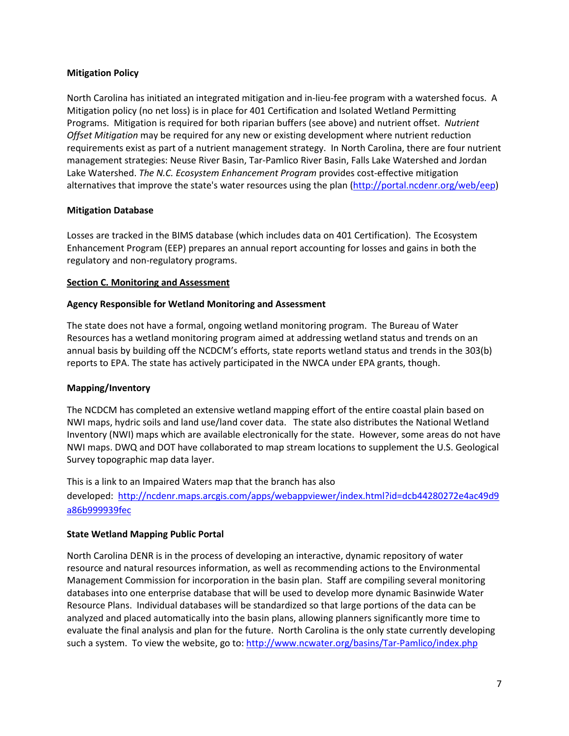## **Mitigation Policy**

North Carolina has initiated an integrated mitigation and in-lieu-fee program with a watershed focus. A Mitigation policy (no net loss) is in place for 401 Certification and Isolated Wetland Permitting Programs. Mitigation is required for both riparian buffers (see above) and nutrient offset. *Nutrient Offset Mitigation* may be required for any new or existing development where nutrient reduction requirements exist as part of a nutrient management strategy. In North Carolina, there are four nutrient management strategies: Neuse River Basin, Tar-Pamlico River Basin, Falls Lake Watershed and Jordan Lake Watershed. *The N.C. Ecosystem Enhancement Program* provides cost-effective mitigation alternatives that improve the state's water resources using the plan [\(http://portal.ncdenr.org/web/eep\)](http://portal.ncdenr.org/web/eep)

## **Mitigation Database**

Losses are tracked in the BIMS database (which includes data on 401 Certification). The Ecosystem Enhancement Program (EEP) prepares an annual report accounting for losses and gains in both the regulatory and non-regulatory programs.

## <span id="page-6-0"></span>**Section C. Monitoring and Assessment**

## **Agency Responsible for Wetland Monitoring and Assessment**

The state does not have a formal, ongoing wetland monitoring program. The Bureau of Water Resources has a wetland monitoring program aimed at addressing wetland status and trends on an annual basis by building off the NCDCM's efforts, state reports wetland status and trends in the 303(b) reports to EPA. The state has actively participated in the NWCA under EPA grants, though.

## **Mapping/Inventory**

The NCDCM has completed an extensive wetland mapping effort of the entire coastal plain based on NWI maps, hydric soils and land use/land cover data. The state also distributes the National Wetland Inventory (NWI) maps which are available electronically for the state. However, some areas do not have NWI maps. DWQ and DOT have collaborated to map stream locations to supplement the U.S. Geological Survey topographic map data layer.

This is a link to an Impaired Waters map that the branch has also developed: [http://ncdenr.maps.arcgis.com/apps/webappviewer/index.html?id=dcb44280272e4ac49d9](http://ncdenr.maps.arcgis.com/apps/webappviewer/index.html?id=dcb44280272e4ac49d9a86b999939fec) [a86b999939fec](http://ncdenr.maps.arcgis.com/apps/webappviewer/index.html?id=dcb44280272e4ac49d9a86b999939fec)

## **State Wetland Mapping Public Portal**

North Carolina DENR is in the process of developing an interactive, dynamic repository of water resource and natural resources information, as well as recommending actions to the Environmental Management Commission for incorporation in the basin plan. Staff are compiling several monitoring databases into one enterprise database that will be used to develop more dynamic Basinwide Water Resource Plans. Individual databases will be standardized so that large portions of the data can be analyzed and placed automatically into the basin plans, allowing planners significantly more time to evaluate the final analysis and plan for the future. North Carolina is the only state currently developing such a system. To view the website, go to:<http://www.ncwater.org/basins/Tar-Pamlico/index.php>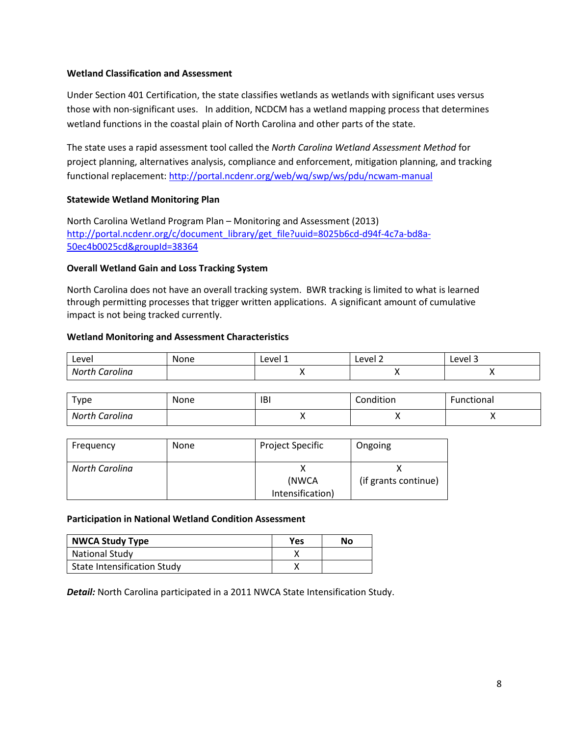### **Wetland Classification and Assessment**

Under Section 401 Certification, the state classifies wetlands as wetlands with significant uses versus those with non-significant uses. In addition, NCDCM has a wetland mapping process that determines wetland functions in the coastal plain of North Carolina and other parts of the state.

The state uses a rapid assessment tool called the *North Carolina Wetland Assessment Method* for project planning, alternatives analysis, compliance and enforcement, mitigation planning, and tracking functional replacement: <http://portal.ncdenr.org/web/wq/swp/ws/pdu/ncwam-manual>

#### **Statewide Wetland Monitoring Plan**

North Carolina Wetland Program Plan – Monitoring and Assessment (2013) [http://portal.ncdenr.org/c/document\\_library/get\\_file?uuid=8025b6cd-d94f-4c7a-bd8a-](http://portal.ncdenr.org/c/document_library/get_file?uuid=8025b6cd-d94f-4c7a-bd8a-50ec4b0025cd&groupId=38364)[50ec4b0025cd&groupId=38364](http://portal.ncdenr.org/c/document_library/get_file?uuid=8025b6cd-d94f-4c7a-bd8a-50ec4b0025cd&groupId=38364)

#### **Overall Wetland Gain and Loss Tracking System**

North Carolina does not have an overall tracking system. BWR tracking is limited to what is learned through permitting processes that trigger written applications. A significant amount of cumulative impact is not being tracked currently.

#### **Wetland Monitoring and Assessment Characteristics**

| Level                          | None | Level 1<br>____ | Level 2<br>____ | AVA<br>---- |
|--------------------------------|------|-----------------|-----------------|-------------|
| Nortr <sub>-</sub><br>Carolina |      |                 |                 |             |

| Type           | None | IBI | Condition | Functional |
|----------------|------|-----|-----------|------------|
| North Carolina |      |     | $\cdots$  |            |

| Frequency      | <b>None</b> | <b>Project Specific</b> | Ongoing              |
|----------------|-------------|-------------------------|----------------------|
| North Carolina |             |                         |                      |
|                |             | (NWCA                   | (if grants continue) |
|                |             | Intensification)        |                      |

#### **Participation in National Wetland Condition Assessment**

| <b>NWCA Study Type</b>             | <b>Yes</b> | No |
|------------------------------------|------------|----|
| <b>National Study</b>              |            |    |
| <b>State Intensification Study</b> |            |    |

*Detail:* North Carolina participated in a 2011 NWCA State Intensification Study.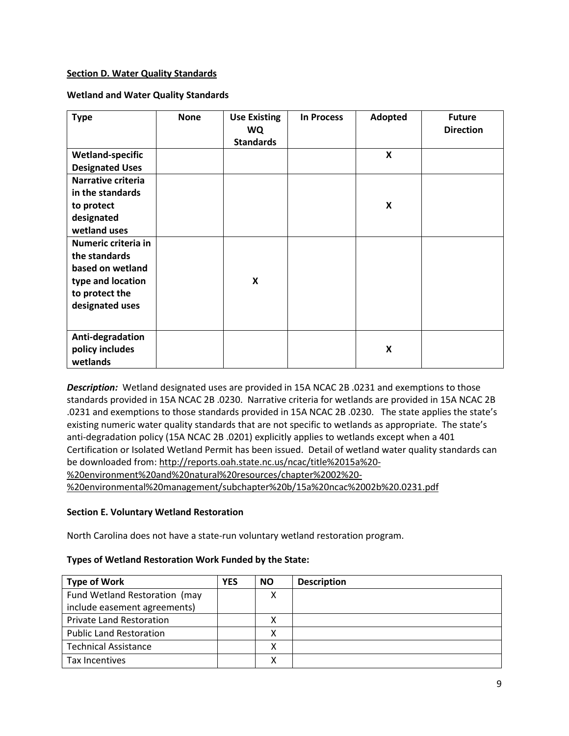## <span id="page-8-0"></span>**Section D. Water Quality Standards**

## **Wetland and Water Quality Standards**

| <b>Type</b>             | <b>None</b> | <b>Use Existing</b><br><b>WQ</b><br><b>Standards</b> | <b>In Process</b> | Adopted          | <b>Future</b><br><b>Direction</b> |
|-------------------------|-------------|------------------------------------------------------|-------------------|------------------|-----------------------------------|
| <b>Wetland-specific</b> |             |                                                      |                   | $\boldsymbol{x}$ |                                   |
| <b>Designated Uses</b>  |             |                                                      |                   |                  |                                   |
| Narrative criteria      |             |                                                      |                   |                  |                                   |
| in the standards        |             |                                                      |                   |                  |                                   |
| to protect              |             |                                                      |                   | X                |                                   |
| designated              |             |                                                      |                   |                  |                                   |
| wetland uses            |             |                                                      |                   |                  |                                   |
| Numeric criteria in     |             |                                                      |                   |                  |                                   |
| the standards           |             |                                                      |                   |                  |                                   |
| based on wetland        |             |                                                      |                   |                  |                                   |
| type and location       |             | X                                                    |                   |                  |                                   |
| to protect the          |             |                                                      |                   |                  |                                   |
| designated uses         |             |                                                      |                   |                  |                                   |
|                         |             |                                                      |                   |                  |                                   |
| Anti-degradation        |             |                                                      |                   |                  |                                   |
| policy includes         |             |                                                      |                   | X                |                                   |
| wetlands                |             |                                                      |                   |                  |                                   |

*Description:*Wetland designated uses are provided in 15A NCAC 2B .0231 and exemptions to those standards provided in 15A NCAC 2B .0230. Narrative criteria for wetlands are provided in 15A NCAC 2B .0231 and exemptions to those standards provided in 15A NCAC 2B .0230. The state applies the state's existing numeric water quality standards that are not specific to wetlands as appropriate. The state's anti-degradation policy (15A NCAC 2B .0201) explicitly applies to wetlands except when a 401 Certification or Isolated Wetland Permit has been issued. Detail of wetland water quality standards can be downloaded from: [http://reports.oah.state.nc.us/ncac/title%2015a%20-](http://reports.oah.state.nc.us/ncac/title%2015a%20-%20environment%20and%20natural%20resources/chapter%2002%20-%20environmental%20management/subchapter%20b/15a%20ncac%2002b%20.0231.pdf) [%20environment%20and%20natural%20resources/chapter%2002%20-](http://reports.oah.state.nc.us/ncac/title%2015a%20-%20environment%20and%20natural%20resources/chapter%2002%20-%20environmental%20management/subchapter%20b/15a%20ncac%2002b%20.0231.pdf) [%20environmental%20management/subchapter%20b/15a%20ncac%2002b%20.0231.pdf](http://reports.oah.state.nc.us/ncac/title%2015a%20-%20environment%20and%20natural%20resources/chapter%2002%20-%20environmental%20management/subchapter%20b/15a%20ncac%2002b%20.0231.pdf)

## <span id="page-8-1"></span>**Section E. Voluntary Wetland Restoration**

North Carolina does not have a state-run voluntary wetland restoration program.

## **Types of Wetland Restoration Work Funded by the State:**

| <b>Type of Work</b>             | <b>YES</b> | <b>NO</b> | <b>Description</b> |
|---------------------------------|------------|-----------|--------------------|
| Fund Wetland Restoration (may   |            | Χ         |                    |
| include easement agreements)    |            |           |                    |
| <b>Private Land Restoration</b> |            |           |                    |
| <b>Public Land Restoration</b>  |            | х         |                    |
| <b>Technical Assistance</b>     |            |           |                    |
| Tax Incentives                  |            |           |                    |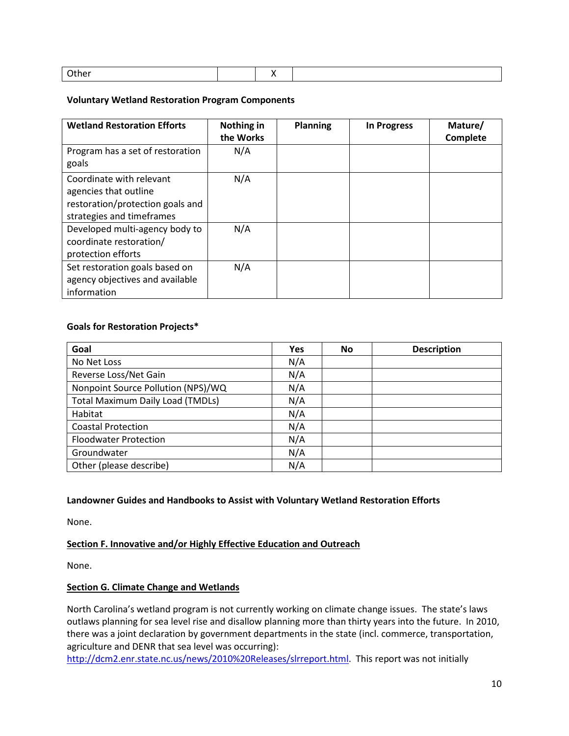|  | -<br>. |  |  |  |
|--|--------|--|--|--|
|--|--------|--|--|--|

## **Voluntary Wetland Restoration Program Components**

| <b>Wetland Restoration Efforts</b>                                                                                 | Nothing in<br>the Works | <b>Planning</b> | <b>In Progress</b> | Mature/<br>Complete |
|--------------------------------------------------------------------------------------------------------------------|-------------------------|-----------------|--------------------|---------------------|
| Program has a set of restoration<br>goals                                                                          | N/A                     |                 |                    |                     |
| Coordinate with relevant<br>agencies that outline<br>restoration/protection goals and<br>strategies and timeframes | N/A                     |                 |                    |                     |
| Developed multi-agency body to<br>coordinate restoration/<br>protection efforts                                    | N/A                     |                 |                    |                     |
| Set restoration goals based on<br>agency objectives and available<br>information                                   | N/A                     |                 |                    |                     |

## **Goals for Restoration Projects\***

| Goal                                    | <b>Yes</b> | <b>No</b> | <b>Description</b> |
|-----------------------------------------|------------|-----------|--------------------|
| No Net Loss                             | N/A        |           |                    |
| Reverse Loss/Net Gain                   | N/A        |           |                    |
| Nonpoint Source Pollution (NPS)/WQ      | N/A        |           |                    |
| <b>Total Maximum Daily Load (TMDLs)</b> | N/A        |           |                    |
| Habitat                                 | N/A        |           |                    |
| <b>Coastal Protection</b>               | N/A        |           |                    |
| <b>Floodwater Protection</b>            | N/A        |           |                    |
| Groundwater                             | N/A        |           |                    |
| Other (please describe)                 | N/A        |           |                    |

# **Landowner Guides and Handbooks to Assist with Voluntary Wetland Restoration Efforts**

None.

## <span id="page-9-0"></span>**Section F. Innovative and/or Highly Effective Education and Outreach**

None.

## **Section G. Climate Change and Wetlands**

North Carolina's wetland program is not currently working on climate change issues. The state's laws outlaws planning for sea level rise and disallow planning more than thirty years into the future. In 2010, there was a joint declaration by government departments in the state (incl. commerce, transportation, agriculture and DENR that sea level was occurring):

[http://dcm2.enr.state.nc.us/news/2010%20Releases/slrreport.html.](http://dcm2.enr.state.nc.us/news/2010%20Releases/slrreport.html) This report was not initially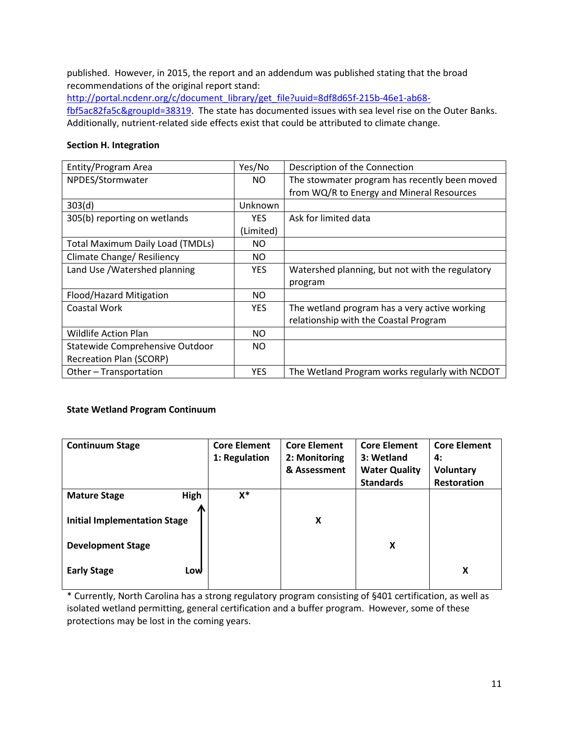published. However, in 2015, the report and an addendum was published stating that the broad recommendations of the original report stand:

[http://portal.ncdenr.org/c/document\\_library/get\\_file?uuid=8df8d65f-215b-46e1-ab68](http://portal.ncdenr.org/c/document_library/get_file?uuid=8df8d65f-215b-46e1-ab68-fbf5ac82fa5c&groupId=38319) [fbf5ac82fa5c&groupId=38319.](http://portal.ncdenr.org/c/document_library/get_file?uuid=8df8d65f-215b-46e1-ab68-fbf5ac82fa5c&groupId=38319) The state has documented issues with sea level rise on the Outer Banks. Additionally, nutrient-related side effects exist that could be attributed to climate change.

#### <span id="page-10-0"></span>**Section H. Integration**

| Entity/Program Area                     | Yes/No         | Description of the Connection                   |
|-----------------------------------------|----------------|-------------------------------------------------|
| NPDES/Stormwater                        | NO.            | The stowmater program has recently been moved   |
|                                         |                | from WQ/R to Energy and Mineral Resources       |
| 303(d)                                  | <b>Unknown</b> |                                                 |
| 305(b) reporting on wetlands            | YES.           | Ask for limited data                            |
|                                         | (Limited)      |                                                 |
| <b>Total Maximum Daily Load (TMDLs)</b> | NO.            |                                                 |
| Climate Change/ Resiliency              | NO.            |                                                 |
| Land Use /Watershed planning            | <b>YES</b>     | Watershed planning, but not with the regulatory |
|                                         |                | program                                         |
| Flood/Hazard Mitigation                 | NO.            |                                                 |
| Coastal Work                            | <b>YES</b>     | The wetland program has a very active working   |
|                                         |                | relationship with the Coastal Program           |
| <b>Wildlife Action Plan</b>             | <b>NO</b>      |                                                 |
| Statewide Comprehensive Outdoor         | NO.            |                                                 |
| <b>Recreation Plan (SCORP)</b>          |                |                                                 |
| Other - Transportation                  | <b>YES</b>     | The Wetland Program works regularly with NCDOT  |

## **State Wetland Program Continuum**

| <b>Continuum Stage</b>              | <b>Core Element</b><br>1: Regulation | <b>Core Element</b><br>2: Monitoring<br>& Assessment | <b>Core Element</b><br>3: Wetland<br><b>Water Quality</b><br><b>Standards</b> | <b>Core Element</b><br>4:<br><b>Voluntary</b><br><b>Restoration</b> |
|-------------------------------------|--------------------------------------|------------------------------------------------------|-------------------------------------------------------------------------------|---------------------------------------------------------------------|
| High<br><b>Mature Stage</b>         | $X^*$                                |                                                      |                                                                               |                                                                     |
|                                     |                                      |                                                      |                                                                               |                                                                     |
| <b>Initial Implementation Stage</b> |                                      | X                                                    |                                                                               |                                                                     |
| <b>Development Stage</b>            |                                      |                                                      | x                                                                             |                                                                     |
| <b>Early Stage</b><br>Low           |                                      |                                                      |                                                                               | X                                                                   |

\* Currently, North Carolina has a strong regulatory program consisting of §401 certification, as well as isolated wetland permitting, general certification and a buffer program. However, some of these protections may be lost in the coming years.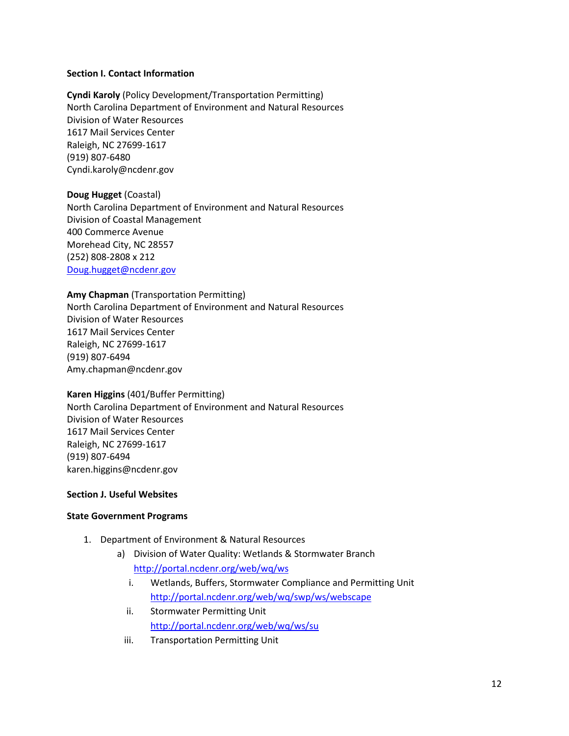#### **Section I. Contact Information**

**Cyndi Karoly** (Policy Development/Transportation Permitting) North Carolina Department of Environment and Natural Resources Division of Water Resources 1617 Mail Services Center Raleigh, NC 27699-1617 (919) 807-6480 Cyndi.karoly@ncdenr.gov

#### **Doug Hugget** (Coastal)

North Carolina Department of Environment and Natural Resources Division of Coastal Management 400 Commerce Avenue Morehead City, NC 28557 (252) 808-2808 x 212 [Doug.hugget@ncdenr.gov](mailto:Doug.hugget@ncdenr.gov)

## **Amy Chapman** (Transportation Permitting)

North Carolina Department of Environment and Natural Resources Division of Water Resources 1617 Mail Services Center Raleigh, NC 27699-1617 (919) 807-6494 Amy.chapman@ncdenr.gov

## **Karen Higgins** (401/Buffer Permitting)

North Carolina Department of Environment and Natural Resources Division of Water Resources 1617 Mail Services Center Raleigh, NC 27699-1617 (919) 807-6494 karen.higgins@ncdenr.gov

## **Section J. Useful Websites**

## **State Government Programs**

- 1. Department of Environment & Natural Resources
	- a) Division of Water Quality: Wetlands & Stormwater Branch <http://portal.ncdenr.org/web/wq/ws>
		- i. Wetlands, Buffers, Stormwater Compliance and Permitting Unit <http://portal.ncdenr.org/web/wq/swp/ws/webscape>
		- ii. Stormwater Permitting Unit <http://portal.ncdenr.org/web/wq/ws/su>
		- iii. Transportation Permitting Unit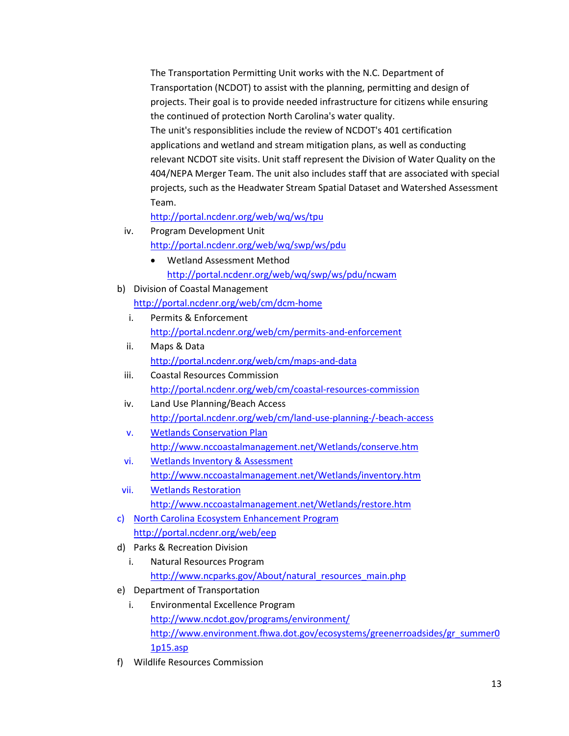The Transportation Permitting Unit works with the N.C. Department of Transportation (NCDOT) to assist with the planning, permitting and design of projects. Their goal is to provide needed infrastructure for citizens while ensuring the continued of protection North Carolina's water quality. The unit's responsiblities include the review of NCDOT's 401 certification applications and wetland and stream mitigation plans, as well as conducting relevant NCDOT site visits. Unit staff represent the Division of Water Quality on the 404/NEPA Merger Team. The unit also includes staff that are associated with special projects, such as the Headwater Stream Spatial Dataset and Watershed Assessment Team.

<http://portal.ncdenr.org/web/wq/ws/tpu>

iv. Program Development Unit

<http://portal.ncdenr.org/web/wq/swp/ws/pdu>

- Wetland Assessment Method <http://portal.ncdenr.org/web/wq/swp/ws/pdu/ncwam>
- b) Division of Coastal Management
	- <http://portal.ncdenr.org/web/cm/dcm-home>
	- i. Permits & Enforcement <http://portal.ncdenr.org/web/cm/permits-and-enforcement>
	- ii. Maps & Data <http://portal.ncdenr.org/web/cm/maps-and-data>
	- iii. Coastal Resources Commission <http://portal.ncdenr.org/web/cm/coastal-resources-commission>
	- iv. Land Use Planning/Beach Access <http://portal.ncdenr.org/web/cm/land-use-planning-/-beach-access>
	- v. Wetlands Conservation Plan <http://www.nccoastalmanagement.net/Wetlands/conserve.htm>
	- vi. Wetlands Inventory & Assessment <http://www.nccoastalmanagement.net/Wetlands/inventory.htm>
- vii. Wetlands Restoration <http://www.nccoastalmanagement.net/Wetlands/restore.htm>
- c) North Carolina Ecosystem Enhancement Program <http://portal.ncdenr.org/web/eep>
- d) Parks & Recreation Division
	- i. Natural Resources Program [http://www.ncparks.gov/About/natural\\_resources\\_main.php](http://www.ncparks.gov/About/natural_resources_main.php)
- e) Department of Transportation
	- i. Environmental Excellence Program <http://www.ncdot.gov/programs/environment/> [http://www.environment.fhwa.dot.gov/ecosystems/greenerroadsides/gr\\_summer0](http://www.environment.fhwa.dot.gov/ecosystems/greenerroadsides/gr_summer01p15.asp) [1p15.asp](http://www.environment.fhwa.dot.gov/ecosystems/greenerroadsides/gr_summer01p15.asp)
- f) Wildlife Resources Commission